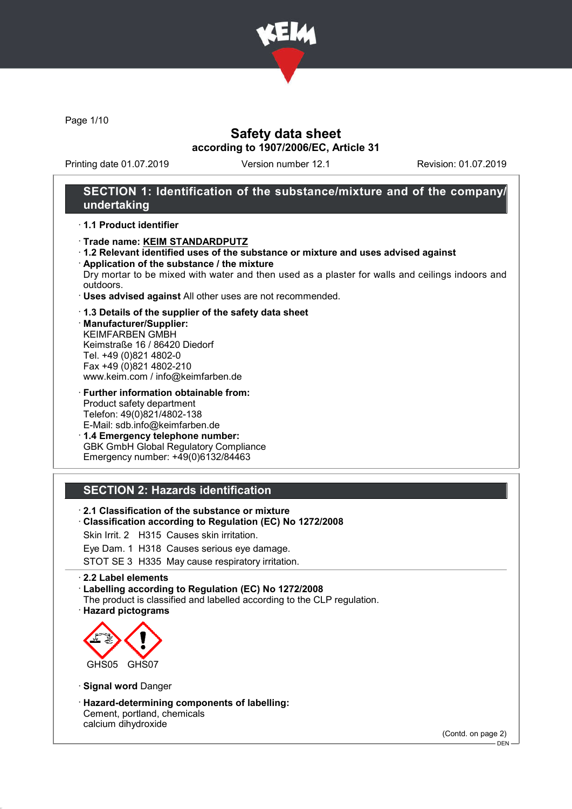

Page 1/10

## Safety data sheet according to 1907/2006/EC, Article 31

Printing date 01.07.2019 Version number 12.1 Revision: 01.07.2019

## SECTION 1: Identification of the substance/mixture and of the company/ undertaking

### · 1.1 Product identifier

### · Trade name: KEIM STANDARDPUTZ

- · 1.2 Relevant identified uses of the substance or mixture and uses advised against · Application of the substance / the mixture
- Dry mortar to be mixed with water and then used as a plaster for walls and ceilings indoors and outdoors.
- · Uses advised against All other uses are not recommended.

### · 1.3 Details of the supplier of the safety data sheet

· Manufacturer/Supplier: KEIMFARBEN GMBH Keimstraße 16 / 86420 Diedorf Tel. +49 (0)821 4802-0 Fax +49 (0)821 4802-210 www.keim.com / info@keimfarben.de

· Further information obtainable from: Product safety department Telefon: 49(0)821/4802-138 E-Mail: sdb.info@keimfarben.de

· 1.4 Emergency telephone number: GBK GmbH Global Regulatory Compliance Emergency number: +49(0)6132/84463

### SECTION 2: Hazards identification

- · 2.1 Classification of the substance or mixture
- · Classification according to Regulation (EC) No 1272/2008
- Skin Irrit. 2 H315 Causes skin irritation.
- Eye Dam. 1 H318 Causes serious eye damage.

STOT SE 3 H335 May cause respiratory irritation.

#### · 2.2 Label elements

· Labelling according to Regulation (EC) No 1272/2008

- The product is classified and labelled according to the CLP regulation.
- · Hazard pictograms



- · Signal word Danger
- · Hazard-determining components of labelling: Cement, portland, chemicals calcium dihydroxide

(Contd. on page 2)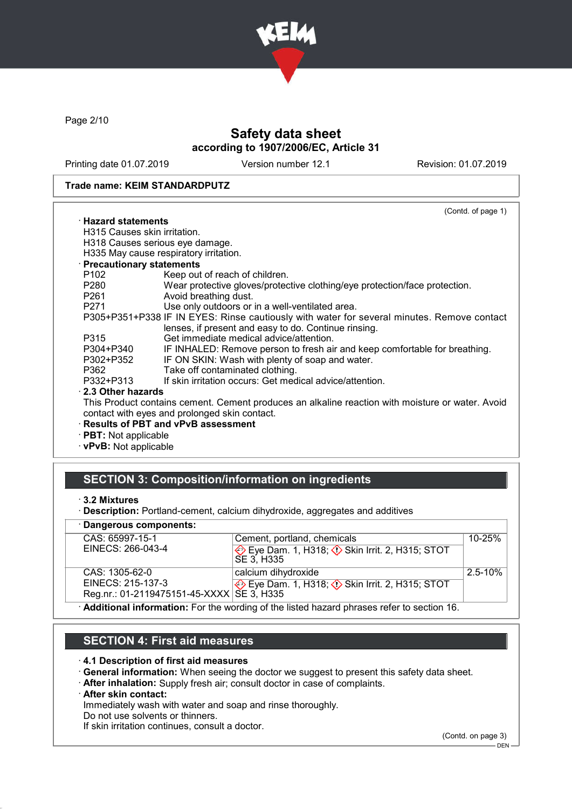

Page 2/10

## Safety data sheet according to 1907/2006/EC, Article 31

Printing date 01.07.2019 Version number 12.1 Revision: 01.07.2019

#### Trade name: KEIM STANDARDPUTZ

|                              | (Contd. of page 1)                                                                               |
|------------------------------|--------------------------------------------------------------------------------------------------|
| $\cdot$ Hazard statements    |                                                                                                  |
| H315 Causes skin irritation. |                                                                                                  |
|                              | H318 Causes serious eye damage.                                                                  |
|                              | H335 May cause respiratory irritation.                                                           |
| · Precautionary statements   |                                                                                                  |
| P <sub>102</sub>             | Keep out of reach of children.                                                                   |
| P280                         | Wear protective gloves/protective clothing/eye protection/face protection.                       |
| P261 <b>P26</b>              | Avoid breathing dust.                                                                            |
| P271                         | Use only outdoors or in a well-ventilated area.                                                  |
|                              | P305+P351+P338 IF IN EYES: Rinse cautiously with water for several minutes. Remove contact       |
|                              | lenses, if present and easy to do. Continue rinsing.                                             |
| P315                         | Get immediate medical advice/attention.                                                          |
| P304+P340                    | IF INHALED: Remove person to fresh air and keep comfortable for breathing.                       |
| P302+P352                    | IF ON SKIN: Wash with plenty of soap and water.                                                  |
| P362                         | Take off contaminated clothing.                                                                  |
| P332+P313                    | If skin irritation occurs: Get medical advice/attention.                                         |
| $\cdot$ 2.3 Other hazards    |                                                                                                  |
|                              | This Product contains cement. Cement produces an alkaline reaction with moisture or water. Avoid |
|                              | contact with eyes and prolonged skin contact.                                                    |
|                              | · Results of PBT and vPvB assessment                                                             |
| $\cdot$ PBT: Not applicable  |                                                                                                  |
|                              |                                                                                                  |

· vPvB: Not applicable

## SECTION 3: Composition/information on ingredients

<sup>·</sup> Description: Portland-cement, calcium dihydroxide, aggregates and additives

| · Dangerous components:                                                                     |                                                                      |             |
|---------------------------------------------------------------------------------------------|----------------------------------------------------------------------|-------------|
| CAS: 65997-15-1                                                                             | Cement, portland, chemicals                                          | 10-25%      |
| EINECS: 266-043-4                                                                           | Eye Dam. 1, H318; $\Diamond$ Skin Irrit. 2, H315; STOT<br>SE 3, H335 |             |
| CAS: 1305-62-0                                                                              | calcium dihydroxide                                                  | $2.5 - 10%$ |
| EINECS: 215-137-3                                                                           | Eye Dam. 1, H318; $\Diamond$ Skin Irrit. 2, H315; STOT               |             |
| Reg.nr.: 01-2119475151-45-XXXX   SE 3, H335                                                 |                                                                      |             |
| . Additional information: Ear the werding of the lighed because phrones refer to eastion 16 |                                                                      |             |

· Additional information: For the wording of the listed hazard phrases refer to section 16.

# SECTION 4: First aid measures

#### · 4.1 Description of first aid measures

- · General information: When seeing the doctor we suggest to present this safety data sheet.
- · After inhalation: Supply fresh air; consult doctor in case of complaints.

#### · After skin contact:

Immediately wash with water and soap and rinse thoroughly.

Do not use solvents or thinners.

If skin irritation continues, consult a doctor.

(Contd. on page 3)

<sup>·</sup> 3.2 Mixtures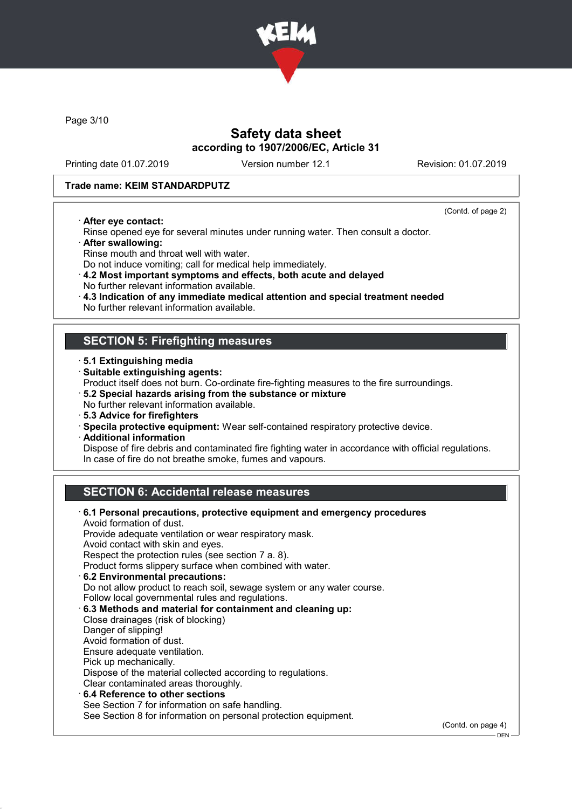

Page 3/10

## Safety data sheet according to 1907/2006/EC, Article 31

Printing date 01.07.2019 Version number 12.1 Revision: 01.07.2019

(Contd. of page 2)

**DEN** 

### Trade name: KEIM STANDARDPUTZ

· After eye contact:

Rinse opened eye for several minutes under running water. Then consult a doctor.

- · After swallowing:
- Rinse mouth and throat well with water.
- Do not induce vomiting; call for medical help immediately.

· 4.2 Most important symptoms and effects, both acute and delayed No further relevant information available.

- · 4.3 Indication of any immediate medical attention and special treatment needed
- No further relevant information available.

## SECTION 5: Firefighting measures

- · 5.1 Extinguishing media
- · Suitable extinguishing agents:
- Product itself does not burn. Co-ordinate fire-fighting measures to the fire surroundings.
- · 5.2 Special hazards arising from the substance or mixture
- No further relevant information available.
- · 5.3 Advice for firefighters
- · Specila protective equipment: Wear self-contained respiratory protective device.
- · Additional information

Dispose of fire debris and contaminated fire fighting water in accordance with official regulations. In case of fire do not breathe smoke, fumes and vapours.

## SECTION 6: Accidental release measures

| 6.1 Personal precautions, protective equipment and emergency procedures<br>Avoid formation of dust. |                    |
|-----------------------------------------------------------------------------------------------------|--------------------|
| Provide adequate ventilation or wear respiratory mask.                                              |                    |
| Avoid contact with skin and eyes.                                                                   |                    |
| Respect the protection rules (see section 7 a. 8).                                                  |                    |
| Product forms slippery surface when combined with water.                                            |                    |
| 6.2 Environmental precautions:                                                                      |                    |
| Do not allow product to reach soil, sewage system or any water course.                              |                    |
| Follow local governmental rules and regulations.                                                    |                    |
| 6.3 Methods and material for containment and cleaning up:                                           |                    |
| Close drainages (risk of blocking)                                                                  |                    |
| Danger of slipping!                                                                                 |                    |
| Avoid formation of dust.                                                                            |                    |
| Ensure adequate ventilation.                                                                        |                    |
| Pick up mechanically.                                                                               |                    |
| Dispose of the material collected according to regulations.                                         |                    |
| Clear contaminated areas thoroughly.                                                                |                    |
| $\cdot$ 6.4 Reference to other sections                                                             |                    |
| See Section 7 for information on safe handling.                                                     |                    |
| See Section 8 for information on personal protection equipment.                                     |                    |
|                                                                                                     | (Contd. on page 4) |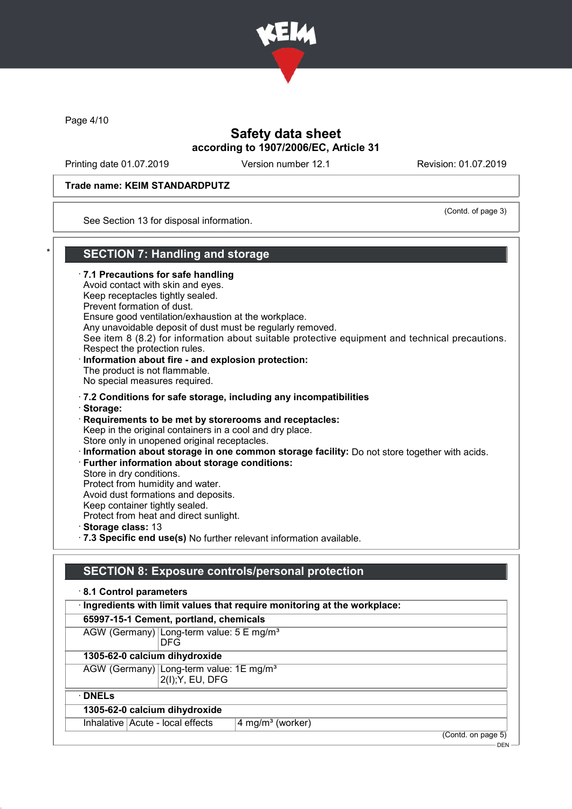

Page 4/10

## Safety data sheet according to 1907/2006/EC, Article 31

Printing date 01.07.2019 Version number 12.1 Revision: 01.07.2019

### Trade name: KEIM STANDARDPUTZ

(Contd. of page 3)

DEN

See Section 13 for disposal information.

## **SECTION 7: Handling and storage**

· 7.1 Precautions for safe handling Avoid contact with skin and eyes. Keep receptacles tightly sealed. Prevent formation of dust. Ensure good ventilation/exhaustion at the workplace. Any unavoidable deposit of dust must be regularly removed. See item 8 (8.2) for information about suitable protective equipment and technical precautions. Respect the protection rules. · Information about fire - and explosion protection: The product is not flammable. No special measures required. · 7.2 Conditions for safe storage, including any incompatibilities · Storage: · Requirements to be met by storerooms and receptacles: Keep in the original containers in a cool and dry place. Store only in unopened original receptacles. · Information about storage in one common storage facility: Do not store together with acids. · Further information about storage conditions: Store in dry conditions. Protect from humidity and water. Avoid dust formations and deposits. Keep container tightly sealed. Protect from heat and direct sunlight. · Storage class: 13 · 7.3 Specific end use(s) No further relevant information available.

## SECTION 8: Exposure controls/personal protection

| · Ingredients with limit values that require monitoring at the workplace: |                                                                         |  |
|---------------------------------------------------------------------------|-------------------------------------------------------------------------|--|
|                                                                           | 65997-15-1 Cement, portland, chemicals                                  |  |
|                                                                           | AGW (Germany) Long-term value: 5 E mg/m <sup>3</sup><br><b>DFG</b>      |  |
|                                                                           | 1305-62-0 calcium dihydroxide                                           |  |
|                                                                           | AGW (Germany) Long-term value: 1E mg/m <sup>3</sup><br>2(I); Y, EU, DFG |  |
| $\cdot$ DNELs                                                             |                                                                         |  |
|                                                                           | 1305-62-0 calcium dihydroxide                                           |  |
| Inhalative   Acute - local effects                                        | $4$ mg/m <sup>3</sup> (worker)                                          |  |
|                                                                           | (Contd. on page 5)                                                      |  |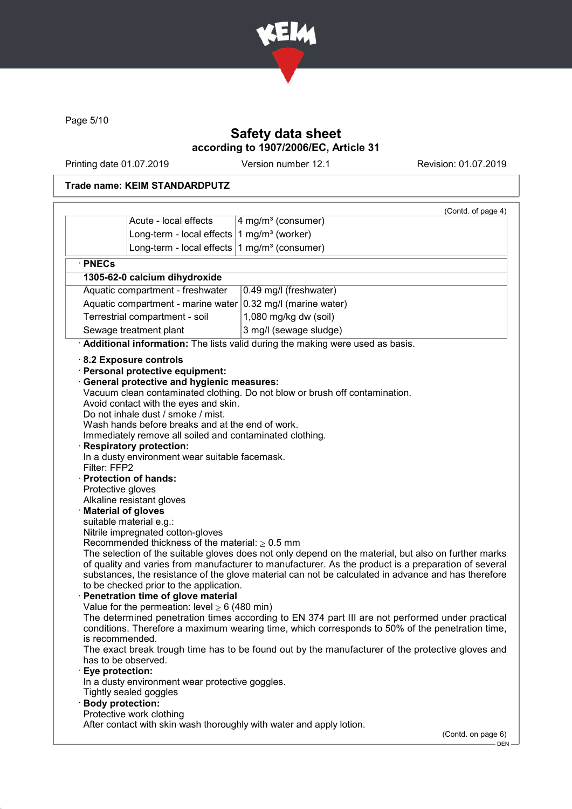

Page 5/10

# Safety data sheet according to 1907/2006/EC, Article 31

Printing date 01.07.2019 Version number 12.1 Revision: 01.07.2019

## Trade name: KEIM STANDARDPUTZ

|                                                                               |                                                                                                                                                                                                                                                                                                                                                                                                                                                                                                                                                 |                                                                                                                                                                                                                                                                                                                                                                                                   | (Contd. of page 4) |
|-------------------------------------------------------------------------------|-------------------------------------------------------------------------------------------------------------------------------------------------------------------------------------------------------------------------------------------------------------------------------------------------------------------------------------------------------------------------------------------------------------------------------------------------------------------------------------------------------------------------------------------------|---------------------------------------------------------------------------------------------------------------------------------------------------------------------------------------------------------------------------------------------------------------------------------------------------------------------------------------------------------------------------------------------------|--------------------|
|                                                                               | Acute - local effects                                                                                                                                                                                                                                                                                                                                                                                                                                                                                                                           | 4 mg/m <sup>3</sup> (consumer)                                                                                                                                                                                                                                                                                                                                                                    |                    |
|                                                                               | Long-term - local effects                                                                                                                                                                                                                                                                                                                                                                                                                                                                                                                       | 1 mg/m <sup>3</sup> (worker)                                                                                                                                                                                                                                                                                                                                                                      |                    |
|                                                                               | Long-term - local effects $1$ mg/m <sup>3</sup> (consumer)                                                                                                                                                                                                                                                                                                                                                                                                                                                                                      |                                                                                                                                                                                                                                                                                                                                                                                                   |                    |
| $\cdot$ PNECs                                                                 |                                                                                                                                                                                                                                                                                                                                                                                                                                                                                                                                                 |                                                                                                                                                                                                                                                                                                                                                                                                   |                    |
|                                                                               | 1305-62-0 calcium dihydroxide                                                                                                                                                                                                                                                                                                                                                                                                                                                                                                                   |                                                                                                                                                                                                                                                                                                                                                                                                   |                    |
|                                                                               | Aquatic compartment - freshwater                                                                                                                                                                                                                                                                                                                                                                                                                                                                                                                | 0.49 mg/l (freshwater)                                                                                                                                                                                                                                                                                                                                                                            |                    |
|                                                                               |                                                                                                                                                                                                                                                                                                                                                                                                                                                                                                                                                 | Aquatic compartment - marine water $ 0.32 \text{ mg/II}$ (marine water)                                                                                                                                                                                                                                                                                                                           |                    |
| Terrestrial compartment - soil<br>1,080 mg/kg dw (soil)                       |                                                                                                                                                                                                                                                                                                                                                                                                                                                                                                                                                 |                                                                                                                                                                                                                                                                                                                                                                                                   |                    |
| Sewage treatment plant                                                        |                                                                                                                                                                                                                                                                                                                                                                                                                                                                                                                                                 | 3 mg/l (sewage sludge)                                                                                                                                                                                                                                                                                                                                                                            |                    |
| Additional information: The lists valid during the making were used as basis. |                                                                                                                                                                                                                                                                                                                                                                                                                                                                                                                                                 |                                                                                                                                                                                                                                                                                                                                                                                                   |                    |
| Filter: FFP2<br>Protective gloves                                             | <b>General protective and hygienic measures:</b><br>Avoid contact with the eyes and skin.<br>Do not inhale dust / smoke / mist.<br>Wash hands before breaks and at the end of work.<br>Immediately remove all soiled and contaminated clothing.<br><b>Respiratory protection:</b><br>In a dusty environment wear suitable facemask.<br>· Protection of hands:<br>Alkaline resistant gloves<br><b>Material of gloves</b><br>suitable material e.g.:<br>Nitrile impregnated cotton-gloves<br>Recommended thickness of the material: $\geq 0.5$ mm | Vacuum clean contaminated clothing. Do not blow or brush off contamination.<br>The selection of the suitable gloves does not only depend on the material, but also on further marks<br>of quality and varies from manufacturer to manufacturer. As the product is a preparation of several<br>substances, the resistance of the glove material can not be calculated in advance and has therefore |                    |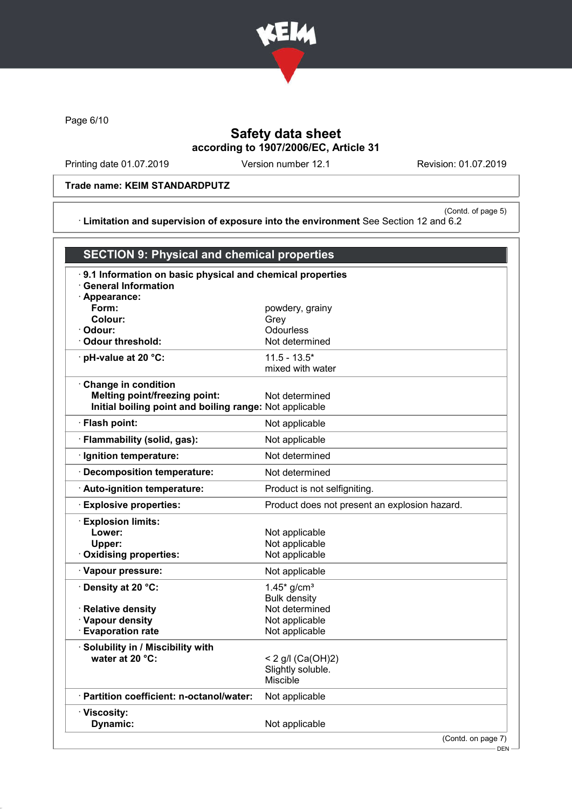

Page 6/10

# Safety data sheet according to 1907/2006/EC, Article 31

Printing date 01.07.2019 Version number 12.1 Revision: 01.07.2019

### Trade name: KEIM STANDARDPUTZ

(Contd. of page 5) · Limitation and supervision of exposure into the environment See Section 12 and 6.2

| <b>SECTION 9: Physical and chemical properties</b>        |                                               |
|-----------------------------------------------------------|-----------------------------------------------|
| 9.1 Information on basic physical and chemical properties |                                               |
| <b>General Information</b><br>Appearance:                 |                                               |
| Form:                                                     | powdery, grainy                               |
| Colour:                                                   | Grey                                          |
| Odour:                                                    | Odourless                                     |
| <b>Odour threshold:</b>                                   | Not determined                                |
| $\cdot$ pH-value at 20 °C:                                | $11.5 - 13.5*$<br>mixed with water            |
| <b>Change in condition</b>                                |                                               |
| <b>Melting point/freezing point:</b>                      | Not determined                                |
| Initial boiling point and boiling range: Not applicable   |                                               |
| · Flash point:                                            | Not applicable                                |
| · Flammability (solid, gas):                              | Not applicable                                |
| · Ignition temperature:                                   | Not determined                                |
| · Decomposition temperature:                              | Not determined                                |
| Auto-ignition temperature:                                | Product is not selfigniting.                  |
| <b>Explosive properties:</b>                              | Product does not present an explosion hazard. |
| <b>Explosion limits:</b>                                  |                                               |
| Lower:                                                    | Not applicable                                |
| Upper:                                                    | Not applicable                                |
| Oxidising properties:                                     | Not applicable                                |
| · Vapour pressure:                                        | Not applicable                                |
| · Density at 20 °C:                                       | $1.45*$ g/cm <sup>3</sup>                     |
|                                                           | <b>Bulk density</b><br>Not determined         |
| · Relative density<br>· Vapour density                    | Not applicable                                |
| <b>Evaporation rate</b>                                   | Not applicable                                |
| · Solubility in / Miscibility with                        |                                               |
| water at 20 °C:                                           | < 2 g/l (Ca(OH)2)                             |
|                                                           | Slightly soluble.                             |
|                                                           | <b>Miscible</b>                               |
| · Partition coefficient: n-octanol/water:                 | Not applicable                                |
| · Viscosity:                                              |                                               |
| Dynamic:                                                  | Not applicable                                |
|                                                           | (Contd. on page 7)                            |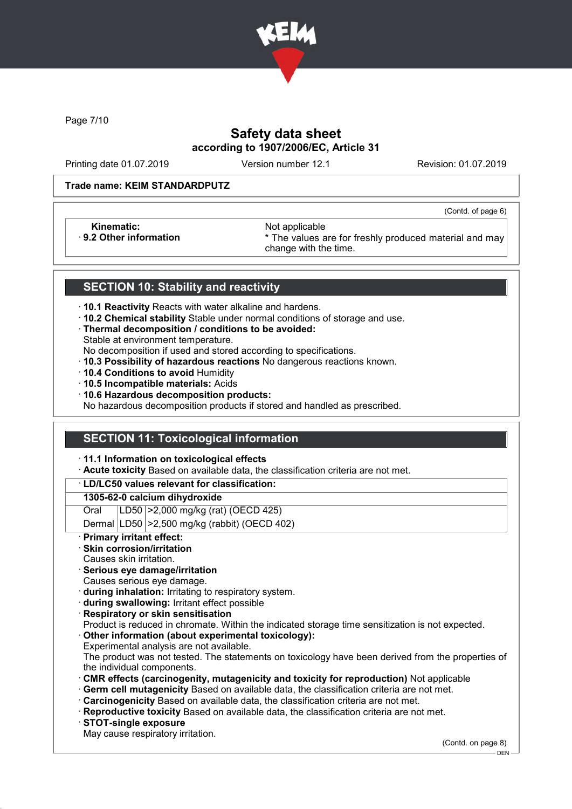

Page 7/10

# Safety data sheet according to 1907/2006/EC, Article 31

Printing date 01.07.2019 Version number 12.1 Revision: 01.07.2019

(Contd. of page 6)

### Trade name: KEIM STANDARDPUTZ

Kinematic: <br>B.2 Other information **Access 1986** Mot applicable **Research Access** 3

\* The values are for freshly produced material and may change with the time.

## SECTION 10: Stability and reactivity

- · 10.1 Reactivity Reacts with water alkaline and hardens.
- · 10.2 Chemical stability Stable under normal conditions of storage and use.
- · Thermal decomposition / conditions to be avoided:
- Stable at environment temperature.
- No decomposition if used and stored according to specifications.
- · 10.3 Possibility of hazardous reactions No dangerous reactions known.
- · 10.4 Conditions to avoid Humidity
- · 10.5 Incompatible materials: Acids
- · 10.6 Hazardous decomposition products:

No hazardous decomposition products if stored and handled as prescribed.

### SECTION 11: Toxicological information

· 11.1 Information on toxicological effects

· Acute toxicity Based on available data, the classification criteria are not met.

### · LD/LC50 values relevant for classification:

### 1305-62-0 calcium dihydroxide

Oral LD50 >2,000 mg/kg (rat) (OECD 425)

Dermal LD50 >2,500 mg/kg (rabbit) (OECD 402)

Primary irritant effect:

### Skin corrosion/irritation

- Causes skin irritation.
- · Serious eye damage/irritation
- Causes serious eye damage.
- · during inhalation: Irritating to respiratory system.
- · during swallowing: Irritant effect possible
- **Respiratory or skin sensitisation**
- Product is reduced in chromate. Within the indicated storage time sensitization is not expected.
- Other information (about experimental toxicology):
- Experimental analysis are not available.

The product was not tested. The statements on toxicology have been derived from the properties of the individual components.

- · CMR effects (carcinogenity, mutagenicity and toxicity for reproduction) Not applicable
- Germ cell mutagenicity Based on available data, the classification criteria are not met.
- · Carcinogenicity Based on available data, the classification criteria are not met.
- · Reproductive toxicity Based on available data, the classification criteria are not met.
- · STOT-single exposure
- May cause respiratory irritation.

(Contd. on page 8)

DEN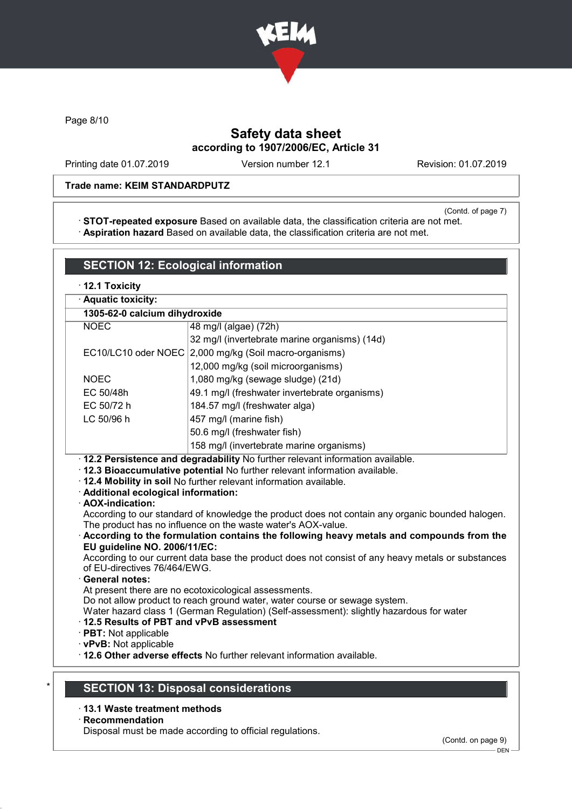

Page 8/10

# Safety data sheet according to 1907/2006/EC, Article 31

Printing date 01.07.2019 Version number 12.1 Revision: 01.07.2019

### Trade name: KEIM STANDARDPUTZ

(Contd. of page 7)

· STOT-repeated exposure Based on available data, the classification criteria are not met. · Aspiration hazard Based on available data, the classification criteria are not met.

| · Aquatic toxicity:                                                              |                                                                                                                                                                                                                                                                                                                                                                                                                                                                                                                                     |  |
|----------------------------------------------------------------------------------|-------------------------------------------------------------------------------------------------------------------------------------------------------------------------------------------------------------------------------------------------------------------------------------------------------------------------------------------------------------------------------------------------------------------------------------------------------------------------------------------------------------------------------------|--|
| 1305-62-0 calcium dihydroxide                                                    |                                                                                                                                                                                                                                                                                                                                                                                                                                                                                                                                     |  |
| <b>NOEC</b>                                                                      | 48 mg/l (algae) (72h)                                                                                                                                                                                                                                                                                                                                                                                                                                                                                                               |  |
|                                                                                  | 32 mg/l (invertebrate marine organisms) (14d)                                                                                                                                                                                                                                                                                                                                                                                                                                                                                       |  |
|                                                                                  | EC10/LC10 oder NOEC 2,000 mg/kg (Soil macro-organisms)                                                                                                                                                                                                                                                                                                                                                                                                                                                                              |  |
|                                                                                  | 12,000 mg/kg (soil microorganisms)                                                                                                                                                                                                                                                                                                                                                                                                                                                                                                  |  |
| <b>NOEC</b>                                                                      | 1,080 mg/kg (sewage sludge) (21d)                                                                                                                                                                                                                                                                                                                                                                                                                                                                                                   |  |
| EC 50/48h                                                                        | 49.1 mg/l (freshwater invertebrate organisms)                                                                                                                                                                                                                                                                                                                                                                                                                                                                                       |  |
| EC 50/72 h                                                                       | 184.57 mg/l (freshwater alga)                                                                                                                                                                                                                                                                                                                                                                                                                                                                                                       |  |
| LC 50/96 h                                                                       | 457 mg/l (marine fish)                                                                                                                                                                                                                                                                                                                                                                                                                                                                                                              |  |
|                                                                                  | 50.6 mg/l (freshwater fish)                                                                                                                                                                                                                                                                                                                                                                                                                                                                                                         |  |
|                                                                                  |                                                                                                                                                                                                                                                                                                                                                                                                                                                                                                                                     |  |
| · Additional ecological information:<br>· AOX-indication:                        | 158 mg/l (invertebrate marine organisms)<br>· 12.2 Persistence and degradability No further relevant information available.<br>· 12.3 Bioaccumulative potential No further relevant information available.<br>. 12.4 Mobility in soil No further relevant information available.<br>The product has no influence on the waste water's AOX-value.                                                                                                                                                                                    |  |
| EU guideline NO. 2006/11/EC:<br>of EU-directives 76/464/EWG.<br>· General notes: | According to our standard of knowledge the product does not contain any organic bounded halogen.<br>According to the formulation contains the following heavy metals and compounds from the<br>According to our current data base the product does not consist of any heavy metals or substances<br>At present there are no ecotoxicological assessments.<br>Do not allow product to reach ground water, water course or sewage system.<br>Water hazard class 1 (German Regulation) (Self-assessment): slightly hazardous for water |  |

- · 13.1 Waste treatment methods
- · Recommendation

Disposal must be made according to official regulations.

<sup>–</sup> DEN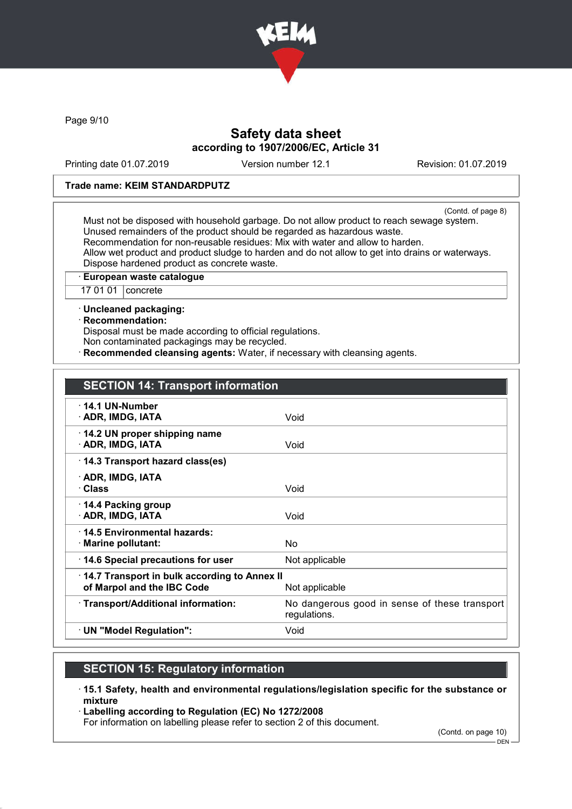

Page 9/10

## Safety data sheet according to 1907/2006/EC, Article 31

Printing date 01.07.2019 Version number 12.1 Revision: 01.07.2019

### Trade name: KEIM STANDARDPUTZ

(Contd. of page 8) Must not be disposed with household garbage. Do not allow product to reach sewage system. Unused remainders of the product should be regarded as hazardous waste. Recommendation for non-reusable residues: Mix with water and allow to harden. Allow wet product and product sludge to harden and do not allow to get into drains or waterways. Dispose hardened product as concrete waste.

· European waste catalogue

17 01 01 | concrete

· Uncleaned packaging:

· Recommendation:

Disposal must be made according to official regulations.

Non contaminated packagings may be recycled.

Recommended cleansing agents: Water, if necessary with cleansing agents.

## SECTION 14: Transport information

| $\cdot$ 14.1 UN-Number                       |                                               |
|----------------------------------------------|-----------------------------------------------|
| · ADR, IMDG, IATA                            | Void                                          |
|                                              |                                               |
| 14.2 UN proper shipping name                 |                                               |
| · ADR, IMDG, IATA                            | Void                                          |
|                                              |                                               |
| 14.3 Transport hazard class(es)              |                                               |
| · ADR, IMDG, IATA                            |                                               |
|                                              |                                               |
| · Class                                      | Void                                          |
| ⋅ 14.4 Packing group                         |                                               |
|                                              | Void                                          |
| · ADR, IMDG, IATA                            |                                               |
| ⋅14.5 Environmental hazards:                 |                                               |
| $\cdot$ Marine pollutant:                    | No.                                           |
|                                              |                                               |
| 14.6 Special precautions for user            | Not applicable                                |
| 14.7 Transport in bulk according to Annex II |                                               |
|                                              |                                               |
| of Marpol and the IBC Code                   | Not applicable                                |
| · Transport/Additional information:          | No dangerous good in sense of these transport |
|                                              |                                               |
|                                              | regulations.                                  |
| · UN "Model Regulation":                     | Void                                          |
|                                              |                                               |

## SECTION 15: Regulatory information

· 15.1 Safety, health and environmental regulations/legislation specific for the substance or mixture

· Labelling according to Regulation (EC) No 1272/2008

For information on labelling please refer to section 2 of this document.

(Contd. on page 10)